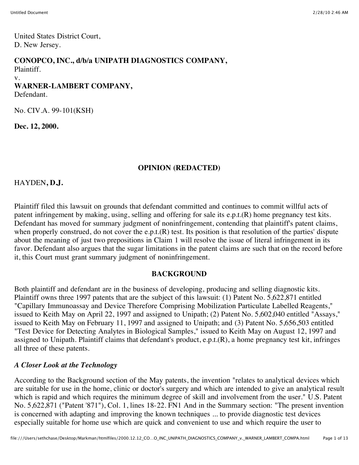United States District Court, D. New Jersey.

#### **CONOPCO, INC., d/b/a UNIPATH DIAGNOSTICS COMPANY,** Plaintiff.

v.

# **WARNER-LAMBERT COMPANY,**

Defendant.

No. CIV.A. 99-101(KSH)

**Dec. 12, 2000.**

### **OPINION (REDACTED)**

HAYDEN**, D.J.**

Plaintiff filed this lawsuit on grounds that defendant committed and continues to commit willful acts of patent infringement by making, using, selling and offering for sale its e.p.t.(R) home pregnancy test kits. Defendant has moved for summary judgment of noninfringement, contending that plaintiff's patent claims, when properly construed, do not cover the e.p.t. $(R)$  test. Its position is that resolution of the parties' dispute about the meaning of just two prepositions in Claim 1 will resolve the issue of literal infringement in its favor. Defendant also argues that the sugar limitations in the patent claims are such that on the record before it, this Court must grant summary judgment of noninfringement.

### **BACKGROUND**

Both plaintiff and defendant are in the business of developing, producing and selling diagnostic kits. Plaintiff owns three 1997 patents that are the subject of this lawsuit: (1) Patent No. 5,622,871 entitled "Capillary Immunoassay and Device Therefore Comprising Mobilization Particulate Labelled Reagents," issued to Keith May on April 22, 1997 and assigned to Unipath; (2) Patent No. 5,602,040 entitled "Assays," issued to Keith May on February 11, 1997 and assigned to Unipath; and (3) Patent No. 5,656,503 entitled "Test Device for Detecting Analytes in Biological Samples," issued to Keith May on August 12, 1997 and assigned to Unipath. Plaintiff claims that defendant's product, e.p.t.(R), a home pregnancy test kit, infringes all three of these patents.

## *A Closer Look at the Technology*

According to the Background section of the May patents, the invention "relates to analytical devices which are suitable for use in the home, clinic or doctor's surgery and which are intended to give an analytical result which is rapid and which requires the minimum degree of skill and involvement from the user." U.S. Patent No. 5,622,871 ("Patent '871"), Col. 1, lines 18-22. FN1 And in the Summary section: "The present invention is concerned with adapting and improving the known techniques ... to provide diagnostic test devices especially suitable for home use which are quick and convenient to use and which require the user to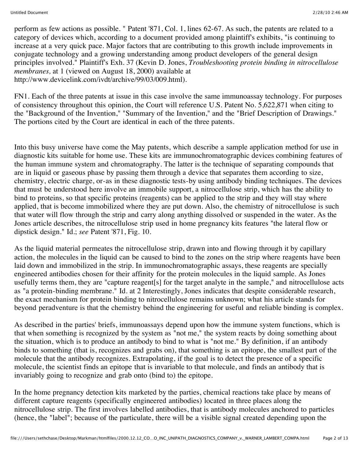perform as few actions as possible. " Patent '871, Col. 1, lines 62-67. As such, the patents are related to a category of devices which, according to a document provided among plaintiff's exhibits, "is continuing to increase at a very quick pace. Major factors that are contributing to this growth include improvements in conjugate technology and a growing understanding among product developers of the general design principles involved." Plaintiff's Exh. 37 (Kevin D. Jones, *Troubleshooting protein binding in nitrocellulose membranes,* at 1 (viewed on August 18, 2000) available at http://www.devicelink.com/ivdt/archive/99/03/009.html).

FN1. Each of the three patents at issue in this case involve the same immunoassay technology. For purposes of consistency throughout this opinion, the Court will reference U.S. Patent No. 5,622,871 when citing to the "Background of the Invention," "Summary of the Invention," and the "Brief Description of Drawings." The portions cited by the Court are identical in each of the three patents.

Into this busy universe have come the May patents, which describe a sample application method for use in diagnostic kits suitable for home use. These kits are immunochromatographic devices combining features of the human immune system and chromatography. The latter is the technique of separating compounds that are in liquid or gaseous phase by passing them through a device that separates them according to size, chemistry, electric charge, or-as in these diagnostic tests-by using antibody binding techniques. The devices that must be understood here involve an immobile support, a nitrocellulose strip, which has the ability to bind to proteins, so that specific proteins (reagents) can be applied to the strip and they will stay where applied, that is become immobilized where they are put down. Also, the chemistry of nitrocellulose is such that water will flow through the strip and carry along anything dissolved or suspended in the water. As the Jones article describes, the nitrocellulose strip used in home pregnancy kits features "the lateral flow or dipstick design." Id.; *see* Patent '871, Fig. 10.

As the liquid material permeates the nitrocellulose strip, drawn into and flowing through it by capillary action, the molecules in the liquid can be caused to bind to the zones on the strip where reagents have been laid down and immobilized in the strip. In immunochromatographic assays, these reagents are specially engineered antibodies chosen for their affinity for the protein molecules in the liquid sample. As Jones usefully terms them, they are "capture reagent[s] for the target analyte in the sample," and nitrocellulose acts as "a protein-binding membrane." Id. at 2 Interestingly, Jones indicates that despite considerable research, the exact mechanism for protein binding to nitrocellulose remains unknown; what his article stands for beyond peradventure is that the chemistry behind the engineering for useful and reliable binding is complex.

As described in the parties' briefs, immunoassays depend upon how the immune system functions, which is that when something is recognized by the system as "not me," the system reacts by doing something about the situation, which is to produce an antibody to bind to what is "not me." By definition, if an antibody binds to something (that is, recognizes and grabs on), that something is an epitope, the smallest part of the molecule that the antibody recognizes. Extrapolating, if the goal is to detect the presence of a specific molecule, the scientist finds an epitope that is invariable to that molecule, and finds an antibody that is invariably going to recognize and grab onto (bind to) the epitope.

In the home pregnancy detection kits marketed by the parties, chemical reactions take place by means of different capture reagents (specifically engineered antibodies) located in three places along the nitrocellulose strip. The first involves labelled antibodies, that is antibody molecules anchored to particles (hence, the "label"; because of the particulate, there will be a visible signal created depending upon the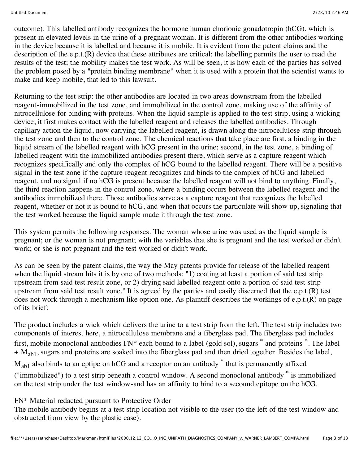outcome). This labelled antibody recognizes the hormone human chorionic gonadotropin (hCG), which is present in elevated levels in the urine of a pregnant woman. It is different from the other antibodies working in the device because it is labelled and because it is mobile. It is evident from the patent claims and the description of the e.p.t.(R) device that these attributes are critical: the labelling permits the user to read the results of the test; the mobility makes the test work. As will be seen, it is how each of the parties has solved the problem posed by a "protein binding membrane" when it is used with a protein that the scientist wants to make and keep mobile, that led to this lawsuit.

Returning to the test strip: the other antibodies are located in two areas downstream from the labelled reagent-immobilized in the test zone, and immobilized in the control zone, making use of the affinity of nitrocellulose for binding with proteins. When the liquid sample is applied to the test strip, using a wicking device, it first makes contact with the labelled reagent and releases the labelled antibodies. Through capillary action the liquid, now carrying the labelled reagent, is drawn along the nitrocellulose strip through the test zone and then to the control zone. The chemical reactions that take place are first, a binding in the liquid stream of the labelled reagent with hCG present in the urine; second, in the test zone, a binding of labelled reagent with the immobilized antibodies present there, which serve as a capture reagent which recognizes specifically and only the complex of hCG bound to the labelled reagent. There will be a positive signal in the test zone if the capture reagent recognizes and binds to the complex of hCG and labelled reagent, and no signal if no hCG is present because the labelled reagent will not bind to anything. Finally, the third reaction happens in the control zone, where a binding occurs between the labelled reagent and the antibodies immobilized there. Those antibodies serve as a capture reagent that recognizes the labelled reagent, whether or not it is bound to hCG, and when that occurs the particulate will show up, signaling that the test worked because the liquid sample made it through the test zone.

This system permits the following responses. The woman whose urine was used as the liquid sample is pregnant; or the woman is not pregnant; with the variables that she is pregnant and the test worked or didn't work; or she is not pregnant and the test worked or didn't work.

As can be seen by the patent claims, the way the May patents provide for release of the labelled reagent when the liquid stream hits it is by one of two methods: "1) coating at least a portion of said test strip upstream from said test result zone, or 2) drying said labelled reagent onto a portion of said test strip upstream from said test result zone." It is agreed by the parties and easily discerned that the e.p.t.(R) test does not work through a mechanism like option one. As plaintiff describes the workings of e.p.t.(R) on page of its brief:

The product includes a wick which delivers the urine to a test strip from the left. The test strip includes two components of interest here, a nitrocellulose membrane and a fiberglass pad. The fiberglass pad includes first, mobile monoclonal antibodies FN\* each bound to a label (gold sol), sugars \* and proteins \*. The label  $+ M<sub>ab1</sub>$ , sugars and proteins are soaked into the fiberglass pad and then dried together. Besides the label,  $M_{ab1}$  also binds to an eptipe on hCG and a receptor on an antibody  $*$  that is permanently affixed ("immobilized") to a test strip beneath a control window. A second monoclonal antibody \* is immobilized on the test strip under the test window-and has an affinity to bind to a secound epitope on the hCG.

FN\* Material redacted pursuant to Protective Order

The mobile antibody begins at a test strip location not visible to the user (to the left of the test window and obstructed from view by the plastic case).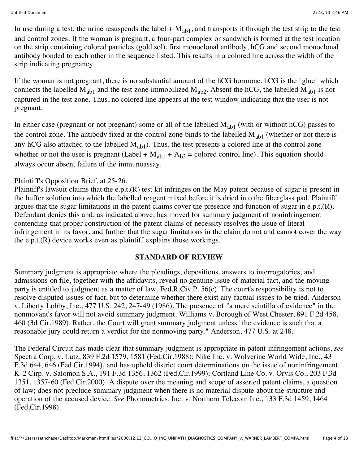In use during a test, the urine resuspends the label  $+ M_{ab1}$ , and transports it through the test strip to the test and control zones. If the woman is pregnant, a four-part complex or sandwich is formed at the test location on the strip containing colored particles (gold sol), first monoclonal antibody, hCG and second monoclonal antibody bonded to each other in the sequence listed. This results in a colored line across the width of the strip indicating pregnancy.

If the woman is not pregnant, there is no substantial amount of the hCG hormone. hCG is the "glue" which connects the labelled  $M_{ab1}$  and the test zone immobilized  $M_{ab2}$ . Absent the hCG, the labelled  $M_{ab1}$  is not captured in the test zone. Thus, no colored line appears at the test window indicating that the user is not pregnant.

In either case (pregnant or not pregnant) some or all of the labelled  $M_{ab1}$  (with or without hCG) passes to the control zone. The antibody fixed at the control zone binds to the labelled  $M_{ab1}$  (whether or not there is any hCG also attached to the labelled  $M_{ab1}$ ). Thus, the test presents a colored line at the control zone whether or not the user is pregnant (Label +  $M_{ab1}$  +  $A_{b3}$  = colored control line). This equation should always occur absent failure of the immunoassay.

#### Plaintiff's Opposition Brief, at 25-26.

Plaintiff's lawsuit claims that the e.p.t.(R) test kit infringes on the May patent because of sugar is present in the buffer solution into which the labelled reagent mixed before it is dried into the fiberglass pad. Plaintiff argues that the sugar limitations in the patent claims cover the presence and function of sugar in e.p.t.(R). Defendant denies this and, as indicated above, has moved for summary judgment of noninfringement contending that proper construction of the patent claims of necessity resolves the issue of literal infringement in its favor, and further that the sugar limitations in the claim do not and cannot cover the way the e.p.t.(R) device works even as plaintiff explains those workings.

#### **STANDARD OF REVIEW**

Summary judgment is appropriate where the pleadings, depositions, answers to interrogatories, and admissions on file, together with the affidavits, reveal no genuine issue of material fact, and the moving party is entitled to judgment as a matter of law. Fed.R.Civ.P. 56(c). The court's responsibility is not to resolve disputed issues of fact, but to determine whether there exist any factual issues to be tried. Anderson v. Liberty Lobby, Inc., 477 U.S. 242, 247-49 (1986). The presence of "a mere scintilla of evidence" in the nonmovant's favor will not avoid summary judgment. Williams v. Borough of West Chester, 891 F.2d 458, 460 (3d Cir.1989). Rather, the Court will grant summary judgment unless "the evidence is such that a reasonable jury could return a verdict for the nonmoving party." Anderson, 477 U.S. at 248.

The Federal Circuit has made clear that summary judgment is appropriate in patent infringement actions, *see* Spectra Corp. v. Lutz, 839 F.2d 1579, 1581 (Fed.Cir.1988); Nike Inc. v. Wolverine World Wide, Inc., 43 F.3d 644, 646 (Fed.Cir.1994), and has upheld district court determinations on the issue of noninfringement. K-2 Cirp. v. Salomon S.A., 191 F.3d 1356, 1362 (Fed.Cir.1999); Cortland Line Co. v. Orvis Co., 203 F.3d 1351, 1357-60 (Fed.Cir.2000). A dispute over the meaning and scope of asserted patent claims, a question of law; does not preclude summary judgment when there is no material dispute about the structure and operation of the accused device. *See* Phonometrics, Inc. v. Northern Telecom Inc., 133 F.3d 1459, 1464 (Fed.Cir.1998).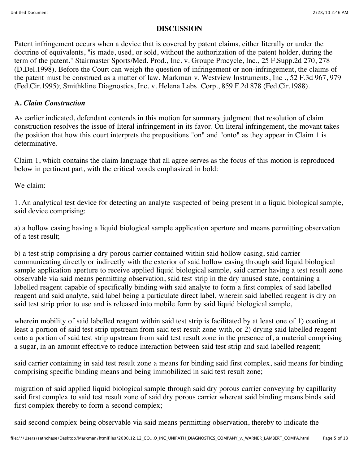#### **DISCUSSION**

Patent infringement occurs when a device that is covered by patent claims, either literally or under the doctrine of equivalents, "is made, used, or sold, without the authorization of the patent holder, during the term of the patent." Stairmaster Sports/Med. Prod., Inc. v. Groupe Procycle, Inc., 25 F.Supp.2d 270, 278 (D.Del.1998). Before the Court can weigh the question of infringement or non-infringement, the claims of the patent must be construed as a matter of law. Markman v. Westview Instruments, Inc ., 52 F.3d 967, 979 (Fed.Cir.1995); Smithkline Diagnostics, Inc. v. Helena Labs. Corp., 859 F.2d 878 (Fed.Cir.1988).

#### **A.** *Claim Construction*

As earlier indicated, defendant contends in this motion for summary judgment that resolution of claim construction resolves the issue of literal infringement in its favor. On literal infringement, the movant takes the position that how this court interprets the prepositions "on" and "onto" as they appear in Claim 1 is determinative.

Claim 1, which contains the claim language that all agree serves as the focus of this motion is reproduced below in pertinent part, with the critical words emphasized in bold:

We claim:

1. An analytical test device for detecting an analyte suspected of being present in a liquid biological sample, said device comprising:

a) a hollow casing having a liquid biological sample application aperture and means permitting observation of a test result;

b) a test strip comprising a dry porous carrier contained within said hollow casing, said carrier communicating directly or indirectly with the exterior of said hollow casing through said liquid biological sample application aperture to receive applied liquid biological sample, said carrier having a test result zone observable via said means permitting observation, said test strip in the dry unused state, containing a labelled reagent capable of specifically binding with said analyte to form a first complex of said labelled reagent and said analyte, said label being a particulate direct label, wherein said labelled reagent is dry on said test strip prior to use and is released into mobile form by said liquid biological sample,

wherein mobility of said labelled reagent within said test strip is facilitated by at least one of 1) coating at least a portion of said test strip upstream from said test result zone with, or 2) drying said labelled reagent onto a portion of said test strip upstream from said test result zone in the presence of, a material comprising a sugar, in an amount effective to reduce interaction between said test strip and said labelled reagent;

said carrier containing in said test result zone a means for binding said first complex, said means for binding comprising specific binding means and being immobilized in said test result zone;

migration of said applied liquid biological sample through said dry porous carrier conveying by capillarity said first complex to said test result zone of said dry porous carrier whereat said binding means binds said first complex thereby to form a second complex;

said second complex being observable via said means permitting observation, thereby to indicate the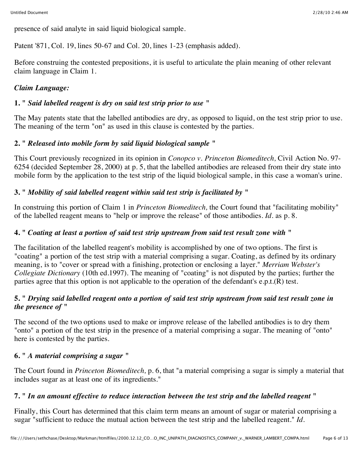presence of said analyte in said liquid biological sample.

Patent '871, Col. 19, lines 50-67 and Col. 20, lines 1-23 (emphasis added).

Before construing the contested prepositions, it is useful to articulate the plain meaning of other relevant claim language in Claim 1.

### *Claim Language:*

### **1. "** *Said labelled reagent is dry on said test strip prior to use* **"**

The May patents state that the labelled antibodies are dry, as opposed to liquid, on the test strip prior to use. The meaning of the term "on" as used in this clause is contested by the parties.

### **2. "** *Released into mobile form by said liquid biological sample* **"**

This Court previously recognized in its opinion in *Conopco v. Princeton Biomeditech,* Civil Action No. 97- 6254 (decided September 28, 2000) at p. 5, that the labelled antibodies are released from their dry state into mobile form by the application to the test strip of the liquid biological sample, in this case a woman's urine.

### **3. "** *Mobility of said labelled reagent within said test strip is facilitated by* **"**

In construing this portion of Claim 1 in *Princeton Biomeditech,* the Court found that "facilitating mobility" of the labelled reagent means to "help or improve the release" of those antibodies. *Id.* as p. 8.

### **4. "** *Coating at least a portion of said test strip upstream from said test result zone with* **"**

The facilitation of the labelled reagent's mobility is accomplished by one of two options. The first is "coating" a portion of the test strip with a material comprising a sugar. Coating, as defined by its ordinary meaning, is to "cover or spread with a finishing, protection or enclosing a layer." *Merriam Webster's Collegiate Dictionary* (10th ed.1997). The meaning of "coating" is not disputed by the parties; further the parties agree that this option is not applicable to the operation of the defendant's e.p.t.(R) test.

### **5. "** *Drying said labelled reagent onto a portion of said test strip upstream from said test result zone in the presence of* **"**

The second of the two options used to make or improve release of the labelled antibodies is to dry them "onto" a portion of the test strip in the presence of a material comprising a sugar. The meaning of "onto" here is contested by the parties.

### **6. "** *A material comprising a sugar* **"**

The Court found in *Princeton Biomeditech,* p. 6, that "a material comprising a sugar is simply a material that includes sugar as at least one of its ingredients."

### **7. "** *In an amount effective to reduce interaction between the test strip and the labelled reagent* **"**

Finally, this Court has determined that this claim term means an amount of sugar or material comprising a sugar "sufficient to reduce the mutual action between the test strip and the labelled reagent." *Id.*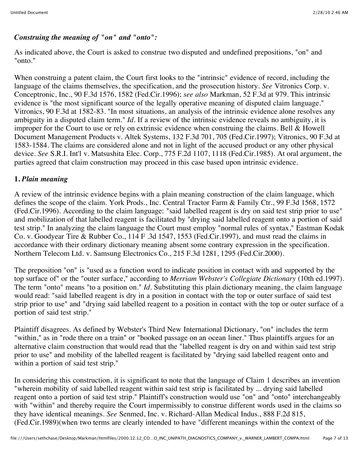### *Construing the meaning of "on" and "onto":*

As indicated above, the Court is asked to construe two disputed and undefined prepositions, "on" and "onto."

When construing a patent claim, the Court first looks to the "intrinsic" evidence of record, including the language of the claims themselves, the specification, and the prosecution history. *See* Vitronics Corp. v. Conceptronic, Inc., 90 F.3d 1576, 1582 (Fed.Cir.1996); *see also* Markman, 52 F.3d at 979. This intrinsic evidence is "the most significant source of the legally operative meaning of disputed claim language." Vitronics, 90 F.3d at 1582-83. "In most situations, an analysis of the intrinsic evidence alone resolves any ambiguity in a disputed claim term." *Id.* If a review of the intrinsic evidence reveals no ambiguity, it is improper for the Court to use or rely on extrinsic evidence when construing the claims. Bell & Howell Document Management Products v. Altek Systems, 132 F.3d 701, 705 (Fed.Cir.1997); Vitronics, 90 F.3d at 1583-1584. The claims are considered alone and not in light of the accused product or any other physical device. *See* S.R.I. Int'l v. Matsushita Elec. Corp., 775 F.2d 1107, 1118 (Fed.Cir.1985). At oral argument, the parties agreed that claim construction may proceed in this case based upon intrinsic evidence.

### **1.** *Plain meaning*

A review of the intrinsic evidence begins with a plain meaning construction of the claim language, which defines the scope of the claim. York Prods., Inc. Central Tractor Farm & Family Ctr., 99 F.3d 1568, 1572 (Fed.Cir.1996). According to the claim language: "said labelled reagent is dry on said test strip prior to use" and mobilization of that labelled reagent is facilitated by "drying said labelled reagent onto a portion of said test strip." In analyzing the claim language the Court must employ "normal rules of syntax," Eastman Kodak Co. v. Goodyear Tire & Rubber Co., 114 F .3d 1547, 1553 (Fed.Cir.1997), and must read the claims in accordance with their ordinary dictionary meaning absent some contrary expression in the specification. Northern Telecom Ltd. v. Samsung Electronics Co., 215 F.3d 1281, 1295 (Fed.Cir.2000).

The preposition "on" is "used as a function word to indicate position in contact with and supported by the top surface of" or the "outer surface," according to *Merriam Webster's Collegiate Dictionary* (10th ed.1997). The term "onto" means "to a position on." *Id.* Substituting this plain dictionary meaning, the claim language would read: "said labelled reagent is dry in a position in contact with the top or outer surface of said test strip prior to use" and "drying said labelled reagent to a position in contact with the top or outer surface of a portion of said test strip."

Plaintiff disagrees. As defined by Webster's Third New International Dictionary, "on" includes the term "within," as in "rode there on a train" or "booked passage on an ocean liner." Thus plaintiffs argues for an alternative claim construction that would read that the "labelled reagent is dry on and within said test strip prior to use" and mobility of the labelled reagent is facilitated by "drying said labelled reagent onto and within a portion of said test strip."

In considering this construction, it is significant to note that the language of Claim 1 describes an invention "wherein mobility of said labelled reagent within said test strip is facilitated by ... drying said labelled reagent onto a portion of said test strip." Plaintiff's construction would use "on" and "onto" interchangeably with "within" and thereby require the Court impermissibly to construe different words used in the claims so they have identical meanings. *See* Senmed, Inc. v. Richard-Allan Medical Indus., 888 F.2d 815, (Fed.Cir.1989)(when two terms are clearly intended to have "different meanings within the context of the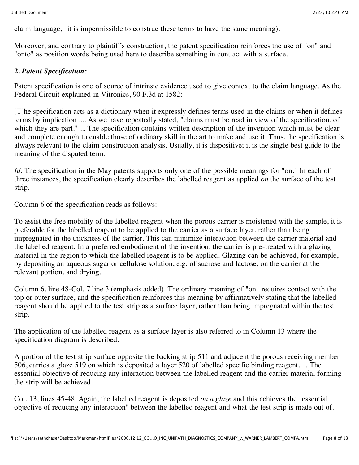claim language," it is impermissible to construe these terms to have the same meaning).

Moreover, and contrary to plaintiff's construction, the patent specification reinforces the use of "on" and "onto" as position words being used here to describe something in cont act with a surface.

### **2.** *Patent Specification:*

Patent specification is one of source of intrinsic evidence used to give context to the claim language. As the Federal Circuit explained in Vitronics, 90 F.3d at 1582:

[T]he specification acts as a dictionary when it expressly defines terms used in the claims or when it defines terms by implication .... As we have repeatedly stated, "claims must be read in view of the specification, of which they are part." ... The specification contains written description of the invention which must be clear and complete enough to enable those of ordinary skill in the art to make and use it. Thus, the specification is always relevant to the claim construction analysis. Usually, it is dispositive; it is the single best guide to the meaning of the disputed term.

*Id.* The specification in the May patents supports only one of the possible meanings for "on." In each of three instances, the specification clearly describes the labelled reagent as applied *on* the surface of the test strip.

Column 6 of the specification reads as follows:

To assist the free mobility of the labelled reagent when the porous carrier is moistened with the sample, it is preferable for the labelled reagent to be applied to the carrier as a surface layer, rather than being impregnated in the thickness of the carrier. This can minimize interaction between the carrier material and the labelled reagent. In a preferred embodiment of the invention, the carrier is pre-treated with a glazing material in the region to which the labelled reagent is to be applied. Glazing can be achieved, for example, by depositing an aqueous sugar or cellulose solution, e.g. of sucrose and lactose, on the carrier at the relevant portion, and drying.

Column 6, line 48-Col. 7 line 3 (emphasis added). The ordinary meaning of "on" requires contact with the top or outer surface, and the specification reinforces this meaning by affirmatively stating that the labelled reagent should be applied to the test strip as a surface layer, rather than being impregnated within the test strip.

The application of the labelled reagent as a surface layer is also referred to in Column 13 where the specification diagram is described:

A portion of the test strip surface opposite the backing strip 511 and adjacent the porous receiving member 506, carries a glaze 519 on which is deposited a layer 520 of labelled specific binding reagent..... The essential objective of reducing any interaction between the labelled reagent and the carrier material forming the strip will be achieved.

Col. 13, lines 45-48. Again, the labelled reagent is deposited *on a glaze* and this achieves the "essential objective of reducing any interaction" between the labelled reagent and what the test strip is made out of.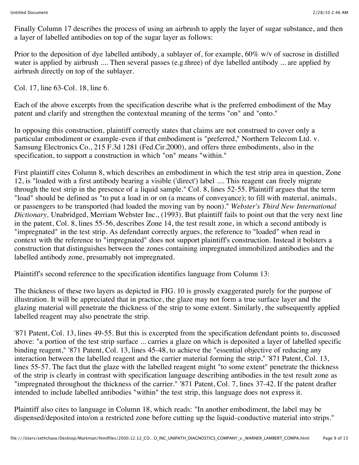Finally Column 17 describes the process of using an airbrush to apply the layer of sugar substance, and then a layer of labelled antibodies on top of the sugar layer as follows:

Prior to the deposition of dye labelled antibody, a sublayer of, for example, 60% w/v of sucrose in distilled water is applied by airbrush .... Then several passes (e.g.three) of dye labelled antibody ... are applied by airbrush directly on top of the sublayer.

Col. 17, line 63-Col. 18, line 6.

Each of the above excerpts from the specification describe what is the preferred embodiment of the May patent and clarify and strengthen the contextual meaning of the terms "on" and "onto."

In opposing this construction, plaintiff correctly states that claims are not construed to cover only a particular embodiment or example-even if that embodiment is "preferred," Northern Telecom Ltd. v. Samsung Electronics Co., 215 F.3d 1281 (Fed.Cir.2000), and offers three embodiments, also in the specification, to support a construction in which "on" means "within."

First plaintiff cites Column 8, which describes an embodiment in which the test strip area in question, Zone 12, is "loaded with a first antibody bearing a visible ('direct') label .... This reagent can freely migrate through the test strip in the presence of a liquid sample." Col. 8, lines 52-55. Plaintiff argues that the term "load" should be defined as "to put a load in or on (a means of conveyance); to fill with material, animals, or passengers to be transported (had loaded the moving van by noon)." *Webster's Third New International Dictionary,* Unabridged, Merriam Webster Inc., (1993). But plaintiff fails to point out that the very next line in the patent, Col. 8, lines 55-56, describes Zone 14, the test result zone, in which a second antibody is "impregnated" in the test strip. As defendant correctly argues, the reference to "loaded" when read in context with the reference to "impregnated" does not support plaintiff's construction. Instead it bolsters a construction that distinguishes between the zones containing impregnated immobilized antibodies and the labelled antibody zone, presumably not impregnated.

Plaintiff's second reference to the specification identifies language from Column 13:

The thickness of these two layers as depicted in FIG. 10 is grossly exaggerated purely for the purpose of illustration. It will be appreciated that in practice, the glaze may not form a true surface layer and the glazing material will penetrate the thickness of the strip to some extent. Similarly, the subsequently applied labelled reagent may also penetrate the strip.

'871 Patent, Col. 13, lines 49-55. But this is excerpted from the specification defendant points to, discussed above: "a portion of the test strip surface ... carries a glaze on which is deposited a layer of labelled specific binding reagent," '871 Patent, Col. 13, lines 45-48, to achieve the "essential objective of reducing any interaction between the labelled reagent and the carrier material forming the strip," '871 Patent, Col. 13, lines 55-57. The fact that the glaze with the labelled reagent might "to some extent" penetrate the thickness of the strip is clearly in contrast with specification language describing antibodies in the test result zone as "impregnated throughout the thickness of the carrier." '871 Patent, Col. 7, lines 37-42. If the patent drafter intended to include labelled antibodies "within" the test strip, this language does not express it.

Plaintiff also cites to language in Column 18, which reads: "In another embodiment, the label may be dispensed/deposited into/on a restricted zone before cutting up the liquid-conductive material into strips."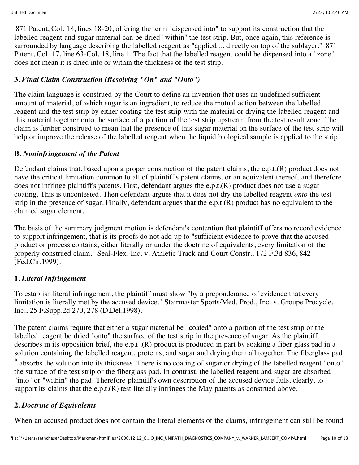'871 Patent, Col. 18, lines 18-20, offering the term "dispensed into" to support its construction that the labelled reagent and sugar material can be dried "within" the test strip. But, once again, this reference is surrounded by language describing the labelled reagent as "applied ... directly on top of the sublayer." '871 Patent, Col. 17, line 63-Col. 18, line 1. The fact that the labelled reagent could be dispensed into a "zone" does not mean it is dried into or within the thickness of the test strip.

### **3.** *Final Claim Construction (Resolving "On" and "Onto")*

The claim language is construed by the Court to define an invention that uses an undefined sufficient amount of material, of which sugar is an ingredient, to reduce the mutual action between the labelled reagent and the test strip by either coating the test strip with the material or drying the labelled reagent and this material together onto the surface of a portion of the test strip upstream from the test result zone. The claim is further construed to mean that the presence of this sugar material on the surface of the test strip will help or improve the release of the labelled reagent when the liquid biological sample is applied to the strip.

### **B.** *Noninfringement of the Patent*

Defendant claims that, based upon a proper construction of the patent claims, the e.p.t.(R) product does not have the critical limitation common to all of plaintiff's patent claims, or an equivalent thereof, and therefore does not infringe plaintiff's patents. First, defendant argues the e.p.t.(R) product does not use a sugar coating. This is uncontested. Then defendant argues that it does not dry the labelled reagent *onto* the test strip in the presence of sugar. Finally, defendant argues that the e.p.t. $(R)$  product has no equivalent to the claimed sugar element.

The basis of the summary judgment motion is defendant's contention that plaintiff offers no record evidence to support infringement, that is its proofs do not add up to "sufficient evidence to prove that the accused product or process contains, either literally or under the doctrine of equivalents, every limitation of the properly construed claim." Seal-Flex. Inc. v. Athletic Track and Court Constr., 172 F.3d 836, 842 (Fed.Cir.1999).

## **1.** *Literal Infringement*

To establish literal infringement, the plaintiff must show "by a preponderance of evidence that every limitation is literally met by the accused device." Stairmaster Sports/Med. Prod., Inc. v. Groupe Procycle, Inc., 25 F.Supp.2d 270, 278 (D.Del.1998).

The patent claims require that either a sugar material be "coated" onto a portion of the test strip or the labelled reagent be dried "onto" the surface of the test strip in the presence of sugar. As the plaintiff describes in its opposition brief, the e.p.t .(R) product is produced in part by soaking a fiber glass pad in a solution containing the labelled reagent, proteins, and sugar and drying them all together. The fiberglass pad absorbs the solution into its thickness. There is no coating of sugar or drying of the labelled reagent "onto" the surface of the test strip or the fiberglass pad. In contrast, the labelled reagent and sugar are absorbed "into" or "within" the pad. Therefore plaintiff's own description of the accused device fails, clearly, to support its claims that the e.p.t.(R) test literally infringes the May patents as construed above.

## **2.** *Doctrine of Equivalents*

When an accused product does not contain the literal elements of the claims, infringement can still be found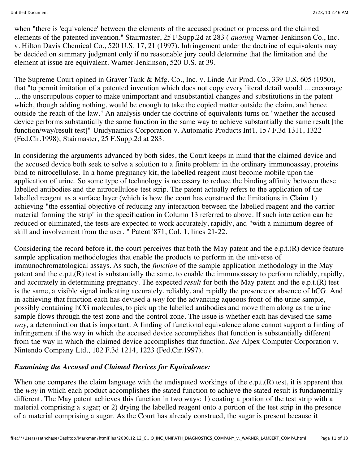when "there is 'equivalence' between the elements of the accused product or process and the claimed elements of the patented invention." Stairmaster, 25 F.Supp.2d at 283 ( *quoting* Warner-Jenkinson Co., Inc. v. Hilton Davis Chemical Co., 520 U.S. 17, 21 (1997). Infringement under the doctrine of equivalents may be decided on summary judgment only if no reasonable jury could determine that the limitation and the element at issue are equivalent. Warner-Jenkinson, 520 U.S. at 39.

The Supreme Court opined in Graver Tank & Mfg. Co., Inc. v. Linde Air Prod. Co., 339 U.S. 605 (1950), that "to permit imitation of a patented invention which does not copy every literal detail would ... encourage ... the unscrupulous copier to make unimportant and unsubstantial changes and substitutions in the patent which, though adding nothing, would be enough to take the copied matter outside the claim, and hence outside the reach of the law." An analysis under the doctrine of equivalents turns on "whether the accused device performs substantially the same function in the same way to achieve substantially the same result [the function/way/result test]" Unidynamics Corporation v. Automatic Products Int'l, 157 F.3d 1311, 1322 (Fed.Cir.1998); Stairmaster, 25 F.Supp.2d at 283.

In considering the arguments advanced by both sides, the Court keeps in mind that the claimed device and the accused device both seek to solve a solution to a finite problem: in the ordinary immunoassay, proteins bind to nitrocellulose. In a home pregnancy kit, the labelled reagent must become mobile upon the application of urine. So some type of technology is necessary to reduce the binding affinity between these labelled antibodies and the nitrocellulose test strip. The patent actually refers to the application of the labelled reagent as a surface layer (which is how the court has construed the limitations in Claim 1) achieving "the essential objective of reducing any interaction between the labelled reagent and the carrier material forming the strip" in the specification in Column 13 referred to above. If such interaction can be reduced or eliminated, the tests are expected to work accurately, rapidly, and "with a minimum degree of skill and involvement from the user. " Patent '871, Col. 1, lines 21-22.

Considering the record before it, the court perceives that both the May patent and the e.p.t.(R) device feature sample application methodologies that enable the products to perform in the universe of immunochromatological assays. As such, the *function* of the sample application methodology in the May patent and the e.p.t.(R) test is substantially the same, to enable the immunoassay to perform reliably, rapidly, and accurately in determining pregnancy. The expected *result* for both the May patent and the e.p.t.(R) test is the same, a visible signal indicating accurately, reliably, and rapidly the presence or absence of hCG. And in achieving that function each has devised a *way* for the advancing aqueous front of the urine sample, possibly containing hCG molecules, to pick up the labelled antibodies and move them along as the urine sample flows through the test zone and the control zone. The issue is whether each has devised the same *way,* a determination that is important. A finding of functional equivalence alone cannot support a finding of infringement if the way in which the accused device accomplishes that function is substantially different from the way in which the claimed device accomplishes that function. *See* Alpex Computer Corporation v. Nintendo Company Ltd., 102 F.3d 1214, 1223 (Fed.Cir.1997).

### *Examining the Accused and Claimed Devices for Equivalence:*

When one compares the claim language with the undisputed workings of the e.p.t.(R) test, it is apparent that the *way* in which each product accomplishes the stated function to achieve the stated result is fundamentally different. The May patent achieves this function in two ways: 1) coating a portion of the test strip with a material comprising a sugar; or 2) drying the labelled reagent onto a portion of the test strip in the presence of a material comprising a sugar. As the Court has already construed, the sugar is present because it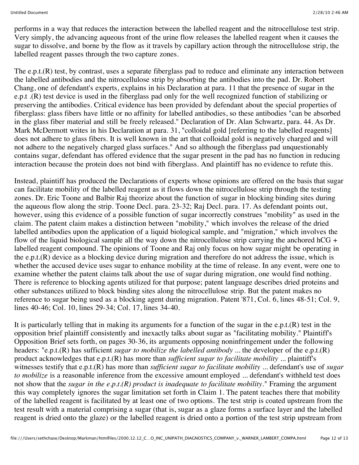performs in a way that reduces the interaction between the labelled reagent and the nitrocellulose test strip. Very simply, the advancing aqueous front of the urine flow releases the labelled reagent when it causes the sugar to dissolve, and borne by the flow as it travels by capillary action through the nitrocellulose strip, the labelled reagent passes through the two capture zones.

The e.p.t.(R) test, by contrast, uses a separate fiberglass pad to reduce and eliminate any interaction between the labelled antibodies and the nitrocellulose strip by absorbing the antibodies into the pad. Dr. Robert Chang, one of defendant's experts, explains in his Declaration at para. 11 that the presence of sugar in the e.p.t .(R) test device is used in the fiberglass pad only for the well recognized function of stabilizing or preserving the antibodies. Critical evidence has been provided by defendant about the special properties of fiberglass: glass fibers have little or no affinity for labelled antibodies, so these antibodies "can be absorbed in the glass fiber material and still be freely released." Declaration of Dr. Alan Schwartz, para. 44. As Dr. Mark McDermott writes in his Declaration at para. 31, "colloidal gold [referring to the labelled reagents] does not adhere to glass fibers. It is well known in the art that colloidal gold is negatively charged and will not adhere to the negatively charged glass surfaces." And so although the fiberglass pad unquestionably contains sugar, defendant has offered evidence that the sugar present in the pad has no function in reducing interaction because the protein does not bind with fiberglass. And plaintiff has no evidence to refute this.

Instead, plaintiff has produced the Declarations of experts whose opinions are offered on the basis that sugar can facilitate mobility of the labelled reagent as it flows down the nitrocellulose strip through the testing zones. Dr. Eric Toone and Balbir Raj theorize about the function of sugar in blocking binding sites during the aqueous flow along the strip. Toone Decl. para. 23-32; Raj Decl. para. 17. As defendant points out, however, using this evidence of a possible function of sugar incorrectly construes "mobility" as used in the claim. The patent claim makes a distinction between "mobility," which involves the release of the dried labelled antibodies upon the application of a liquid biological sample, and "migration," which involves the flow of the liquid biological sample all the way down the nitrocellulose strip carrying the anchored  $hCG +$ labelled reagent compound. The opinions of Toone and Raj only focus on how sugar might be operating in the e.p.t.(R) device as a blocking device during migration and therefore do not address the issue, which is whether the accused device uses sugar to enhance mobility at the time of release. In any event, were one to examine whether the patent claims talk about the use of sugar during migration, one would find nothing. There is reference to blocking agents utilized for that purpose; patent language describes dried proteins and other substances utilized to block binding sites along the nitrocellulose strip. But the patent makes no reference to sugar being used as a blocking agent during migration. Patent '871, Col. 6, lines 48-51; Col. 9, lines 40-46; Col. 10, lines 29-34; Col. 17, lines 34-40.

It is particularly telling that in making its arguments for a function of the sugar in the e.p.t.(R) test in the opposition brief plaintiff consistently and inexactly talks about sugar as "facilitating mobility." Plaintiff's Opposition Brief sets forth, on pages 30-36, its arguments opposing noninfringement under the following headers: "e.p.t.(R) has sufficient *sugar to mobilize the labelled antibody* ... the developer of the e.p.t.(R) product acknowledges that e.p.t.(R) has more than *sufficient sugar to facilitate mobility* ... plaintiff's witnesses testify that e.p.t.(R) has more than *sufficient sugar to facilitate mobility* ... defendant's use of *sugar to mobilize* is a reasonable inference from the excessive amount employed ... defendant's withheld test does not show that the *sugar in the e.p.t.(R) product is inadequate to facilitate mobility.*" Framing the argument this way completely ignores the sugar limitation set forth in Claim 1. The patent teaches there that mobility of the labelled reagent is facilitated by at least one of two options. The test strip is coated upstream from the test result with a material comprising a sugar (that is, sugar as a glaze forms a surface layer and the labelled reagent is dried onto the glaze) or the labelled reagent is dried onto a portion of the test strip upstream from